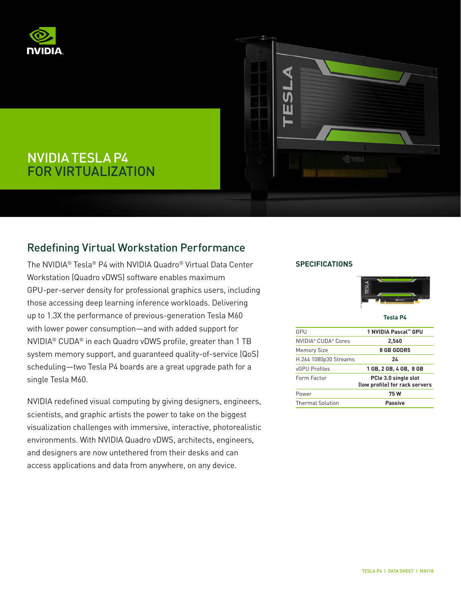



# NVIDIA TESLA P4 FOR VIRTUALIZATION

# Redefining Virtual Workstation Performance

The NVIDIA® Tesla® P4 with NVIDIA Quadro® Virtual Data Center Workstation (Quadro vDWS) software enables maximum GPU-per-server density for professional graphics users, including those accessing deep learning inference workloads. Delivering up to 1.3X the performance of previous-generation Tesla M60 with lower power consumption—and with added support for NVIDIA® CUDA® in each Quadro vDWS profile, greater than 1 TB system memory support, and guaranteed quality-of-service (QoS) scheduling—two Tesla P4 boards are a great upgrade path for a single Tesla M60.

NVIDIA redefined visual computing by giving designers, engineers, scientists, and graphic artists the power to take on the biggest visualization challenges with immersive, interactive, photorealistic environments. With NVIDIA Quadro vDWS, architects, engineers, and designers are now untethered from their desks and can access applications and data from anywhere, on any device.

## **SPECIFICATIONS**



**Tesla P4**

| GPU                     | 1 NVIDIA Pascal™ GPU                                   |
|-------------------------|--------------------------------------------------------|
| NVIDIA® CUDA® Cores     | 2,560                                                  |
| <b>Memory Size</b>      | <b>8 GB GDDR5</b>                                      |
| H.264 1080p30 Streams   | 24                                                     |
| vGPU Profiles           | 1 GB, 2 GB, 4 GB, 8 GB                                 |
| Form Factor             | PCle 3.0 single slot<br>(low profile) for rack servers |
| Power                   | 75 W                                                   |
| <b>Thermal Solution</b> | Passive                                                |
|                         |                                                        |